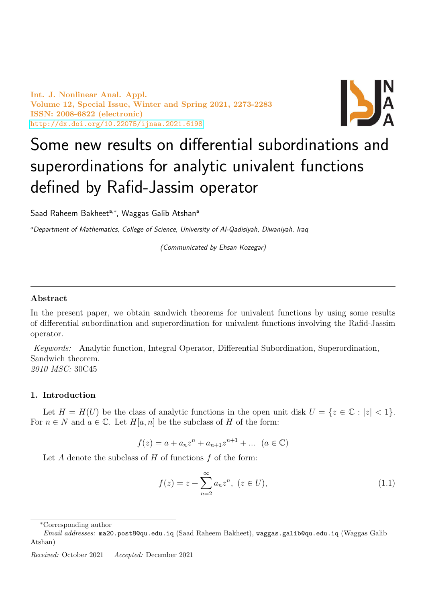Int. J. Nonlinear Anal. Appl. Volume 12, Special Issue, Winter and Spring 2021, 2273-2283 ISSN: 2008-6822 (electronic) <http://dx.doi.org/10.22075/ijnaa.2021.6198>



# Some new results on differential subordinations and superordinations for analytic univalent functions defined by Rafid-Jassim operator

Saad Raheem Bakheet<sup>a,\*</sup>, Waggas Galib Atshan<sup>a</sup>

<sup>a</sup>Department of Mathematics, College of Science, University of Al-Qadisiyah, Diwaniyah, Iraq

(Communicated by Ehsan Kozegar)

## Abstract

In the present paper, we obtain sandwich theorems for univalent functions by using some results of differential subordination and superordination for univalent functions involving the Rafid-Jassim operator.

Keywords: Analytic function, Integral Operator, Differential Subordination, Superordination, Sandwich theorem. 2010 MSC: 30C45

## 1. Introduction

Let  $H = H(U)$  be the class of analytic functions in the open unit disk  $U = \{z \in \mathbb{C} : |z| < 1\}.$ For  $n \in N$  and  $a \in \mathbb{C}$ . Let  $H[a, n]$  be the subclass of H of the form:

$$
f(z) = a + a_n z^n + a_{n+1} z^{n+1} + \dots \ (a \in \mathbb{C})
$$

Let  $A$  denote the subclass of  $H$  of functions  $f$  of the form:

<span id="page-0-0"></span>
$$
f(z) = z + \sum_{n=2}^{\infty} a_n z^n, \ (z \in U), \tag{1.1}
$$

<sup>∗</sup>Corresponding author

Email addresses: ma20.post8@qu.edu.iq (Saad Raheem Bakheet), waggas.galib@qu.edu.iq (Waggas Galib Atshan)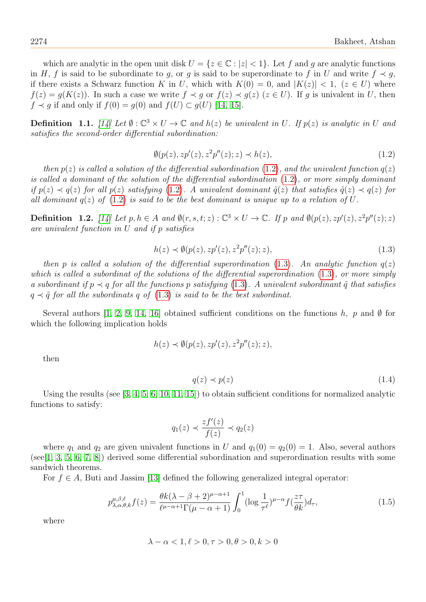which are analytic in the open unit disk  $U = \{z \in \mathbb{C} : |z| < 1\}$ . Let f and g are analytic functions in H, f is said to be subordinate to g, or g is said to be superordinate to f in U and write  $f \prec g$ , if there exists a Schwarz function K in U, which with  $K(0) = 0$ , and  $|K(z)| < 1$ ,  $(z \in U)$  where  $f(z) = g(K(z))$ . In such a case we write  $f \prec g$  or  $f(z) \prec g(z)$   $(z \in U)$ . If g is univalent in U, then  $f \prec g$  if and only if  $f(0) = g(0)$  and  $f(U) \subset g(U)$  [\[14,](#page-10-0) [15\]](#page-10-1).

**Definition** 1.1. [\[14\]](#page-10-0) Let  $\emptyset : \mathbb{C}^3 \times U \to \mathbb{C}$  and  $h(z)$  be univalent in U. If  $p(z)$  is analytic in U and satisfies the second-order differential subordination:

<span id="page-1-0"></span>
$$
\emptyset(p(z), z p'(z), z^2 p''(z); z) \prec h(z),\tag{1.2}
$$

then  $p(z)$  is called a solution of the differential subordination [\(1.2\)](#page-1-0), and the univalent function  $q(z)$ is called a dominant of the solution of the differential subordination [\(1.2\)](#page-1-0), or more simply dominant if  $p(z) \prec q(z)$  for all  $p(z)$  satisfying [\(1.2\)](#page-1-0). A univalent dominant  $\tilde{q}(z)$  that satisfies  $\tilde{q}(z) \prec q(z)$  for all dominant  $q(z)$  of  $(1.2)$  is said to be the best dominant is unique up to a relation of U.

**Definition** 1.2. [\[14\]](#page-10-0) Let  $p, h \in A$  and  $\emptyset(r, s, t; z): \mathbb{C}^3 \times U \to \mathbb{C}$ . If  $p$  and  $\emptyset(p(z), zp'(z), z^2p''(z); z)$ are univalent function in U and if p satisfies

<span id="page-1-1"></span>
$$
h(z) \prec \emptyset(p(z), z p'(z), z^2 p''(z); z), \tag{1.3}
$$

then p is called a solution of the differential superordination [\(1.3\)](#page-1-1). An analytic function  $q(z)$ which is called a subordinat of the solutions of the differential superordination [\(1.3\)](#page-1-1), or more simply a subordinant if  $p \prec q$  for all the functions p satisfying [\(1.3\)](#page-1-1). A univalent subordinant  $\tilde{q}$  that satisfies  $q \prec \tilde{q}$  for all the subordinats q of [\(1.3\)](#page-1-1) is said to be the best subordinat.

Several authors [\[1,](#page-10-2) [2,](#page-10-3) [9,](#page-10-4) [14,](#page-10-0) [16\]](#page-10-5) obtained sufficient conditions on the functions h, p and  $\emptyset$  for which the following implication holds

$$
h(z) \prec \emptyset(p(z), z p'(z), z^2 p''(z); z),
$$

then

$$
q(z) \prec p(z) \tag{1.4}
$$

Using the results (see [\[3,](#page-10-6) [4,](#page-10-7) [5,](#page-10-8) [6,](#page-10-9) [10,](#page-10-10) [11,](#page-10-11) [15\]](#page-10-1)) to obtain sufficient conditions for normalized analytic functions to satisfy:

$$
q_1(z) \prec \frac{zf'(z)}{f(z)} \prec q_2(z)
$$

where  $q_1$  and  $q_2$  are given univalent functions in U and  $q_1(0) = q_2(0) = 1$ . Also, several authors  $(\text{see} [1, 3, 5, 6, 7, 8])$  $(\text{see} [1, 3, 5, 6, 7, 8])$  $(\text{see} [1, 3, 5, 6, 7, 8])$  $(\text{see} [1, 3, 5, 6, 7, 8])$  $(\text{see} [1, 3, 5, 6, 7, 8])$  $(\text{see} [1, 3, 5, 6, 7, 8])$  $(\text{see} [1, 3, 5, 6, 7, 8])$  $(\text{see} [1, 3, 5, 6, 7, 8])$  derived some differential subordination and superordination results with some sandwich theorems.

For  $f \in A$ , Buti and Jassim [\[13\]](#page-10-14) defined the following generalized integral operator:

$$
p_{\lambda,\alpha,\theta,k}^{\mu,\beta,\ell}f(z) = \frac{\theta k(\lambda-\beta+2)^{\mu-\alpha+1}}{\ell^{\mu-\alpha+1}\Gamma(\mu-\alpha+1)} \int_0^1 (\log\frac{1}{\tau^{\ell}})^{\mu-\alpha} f(\frac{z\tau}{\theta k}) d_\tau,
$$
\n(1.5)

where

$$
\lambda - \alpha < 1, \ell > 0, \tau > 0, \theta > 0, k > 0
$$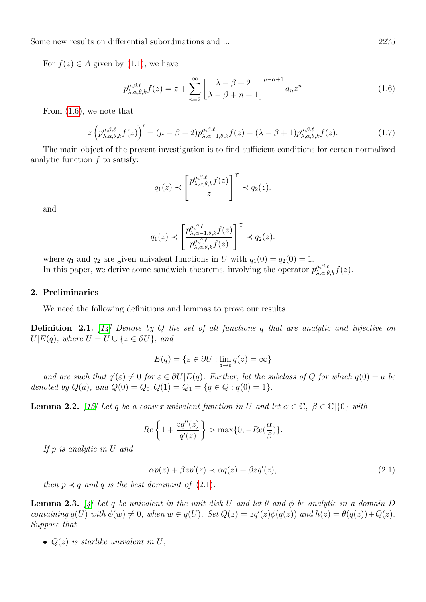For  $f(z) \in A$  given by [\(1.1\)](#page-0-0), we have

<span id="page-2-0"></span>
$$
p_{\lambda,\alpha,\theta,k}^{\mu,\beta,\ell}f(z) = z + \sum_{n=2}^{\infty} \left[ \frac{\lambda - \beta + 2}{\lambda - \beta + n + 1} \right]^{\mu - \alpha + 1} a_n z^n \tag{1.6}
$$

From [\(1.6\)](#page-2-0), we note that

<span id="page-2-2"></span>
$$
z\left(p_{\lambda,\alpha,\theta,k}^{\mu,\beta,\ell}f(z)\right)' = (\mu - \beta + 2)p_{\lambda,\alpha-1,\theta,k}^{\mu,\beta,\ell}f(z) - (\lambda - \beta + 1)p_{\lambda,\alpha,\theta,k}^{\mu,\beta,\ell}f(z). \tag{1.7}
$$

The main object of the present investigation is to find sufficient conditions for certan normalized analytic function  $f$  to satisfy:

$$
q_1(z) \prec \left[\frac{p_{\lambda,\alpha,\theta,k}^{\mu,\beta,\ell}f(z)}{z}\right]^{\Upsilon} \prec q_2(z).
$$

and

$$
q_1(z) \prec \left[ \frac{p_{\lambda,\alpha-1,\theta,k}^{\mu,\beta,\ell} f(z)}{p_{\lambda,\alpha,\theta,k}^{\mu,\beta,\ell} f(z)} \right]^\Upsilon \prec q_2(z).
$$

where  $q_1$  and  $q_2$  are given univalent functions in U with  $q_1(0) = q_2(0) = 1$ . In this paper, we derive some sandwich theorems, involving the operator  $p_{\lambda,\alpha,\theta,k}^{\mu,\beta,\ell} f(z)$ .

## 2. Preliminaries

We need the following definitions and lemmas to prove our results.

**Definition 2.1.** [\[14\]](#page-10-0) Denote by Q the set of all functions q that are analytic and injective on  $\overline{U} |E(q)$ , where  $\overline{U} = U \cup \{z \in \partial U\}$ , and

$$
E(q) = \{ \varepsilon \in \partial U : \lim_{z \to \varepsilon} q(z) = \infty \}
$$

and are such that  $q'(\varepsilon) \neq 0$  for  $\varepsilon \in \partial U | E(q)$ . Further, let the subclass of Q for which  $q(0) = a$  be denoted by  $Q(a)$ , and  $Q(0) = Q_0, Q(1) = Q_1 = \{q \in Q : q(0) = 1\}.$ 

<span id="page-2-3"></span>**Lemma 2.2.** [\[15\]](#page-10-1) Let q be a convex univalent function in U and let  $\alpha \in \mathbb{C}$ ,  $\beta \in \mathbb{C}|\{0\}$  with

$$
Re\left\{1+\frac{zq''(z)}{q'(z)}\right\} > \max\{0, -Re(\frac{\alpha}{\beta})\}.
$$

If p is analytic in U and

<span id="page-2-1"></span>
$$
\alpha p(z) + \beta z p'(z) \prec \alpha q(z) + \beta z q'(z),\tag{2.1}
$$

then  $p \prec q$  and q is the best dominant of [\(2.1\)](#page-2-1).

<span id="page-2-4"></span>**Lemma 2.3.** [\[4\]](#page-10-7) Let q be univalent in the unit disk U and let  $\theta$  and  $\phi$  be analytic in a domain D containing  $q(U)$  with  $\phi(w) \neq 0$ , when  $w \in q(U)$ . Set  $Q(z) = zq'(z)\phi(q(z))$  and  $h(z) = \theta(q(z)) + Q(z)$ . Suppose that

•  $Q(z)$  is starlike univalent in U,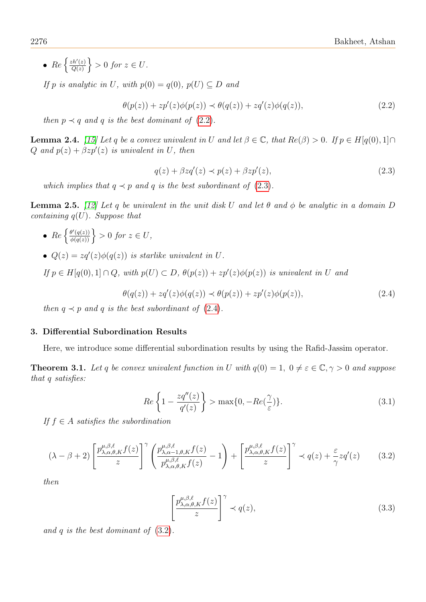•  $Re \left\{ \frac{zh'(z)}{O(z)} \right\}$  $\left\{\frac{ch'(z)}{Q(z)}\right\} > 0$  for  $z \in U$ .

If p is analytic in U, with  $p(0) = q(0)$ ,  $p(U) \subseteq D$  and

<span id="page-3-0"></span>
$$
\theta(p(z)) + zp'(z)\phi(p(z)) \prec \theta(q(z)) + zq'(z)\phi(q(z)),\tag{2.2}
$$

then  $p \prec q$  and q is the best dominant of [\(2.2\)](#page-3-0).

<span id="page-3-6"></span>**Lemma 2.4.** [\[15\]](#page-10-1) Let q be a convex univalent in U and let  $\beta \in \mathbb{C}$ , that  $Re(\beta) > 0$ . If  $p \in H[q(0), 1] \cap$ Q and  $p(z) + \beta z p'(z)$  is univalent in U, then

<span id="page-3-1"></span>
$$
q(z) + \beta z q'(z) \prec p(z) + \beta z p'(z), \qquad (2.3)
$$

which implies that  $q \prec p$  and q is the best subordinant of [\(2.3\)](#page-3-1).

<span id="page-3-7"></span>**Lemma 2.5.** [\[12\]](#page-10-15) Let q be univalent in the unit disk U and let  $\theta$  and  $\phi$  be analytic in a domain D containing  $q(U)$ . Suppose that

- $\{ \frac{\theta'(q(z))}{\phi(q(z))} \} > 0$  for  $z \in U$ ,
- $Q(z) = zq'(z)\phi(q(z))$  is starlike univalent in U.

If  $p \in H[q(0),1] \cap Q$ , with  $p(U) \subset D$ ,  $\theta(p(z)) + zp'(z)\phi(p(z))$  is univalent in U and

<span id="page-3-2"></span>
$$
\theta(q(z)) + zq'(z)\phi(q(z)) \prec \theta(p(z)) + zp'(z)\phi(p(z)),\tag{2.4}
$$

then  $q \prec p$  and q is the best subordinant of [\(2.4\)](#page-3-2).

## 3. Differential Subordination Results

Here, we introduce some differential subordination results by using the Rafid-Jassim operator.

<span id="page-3-5"></span>**Theorem 3.1.** Let q be convex univalent function in U with  $q(0) = 1$ ,  $0 \neq \varepsilon \in \mathbb{C}, \gamma > 0$  and suppose that q satisfies:

<span id="page-3-8"></span>
$$
Re\left\{1 - \frac{zq''(z)}{q'(z)}\right\} > \max\{0, -Re(\frac{\gamma}{\varepsilon})\}.
$$
\n(3.1)

If  $f \in A$  satisfies the subordination

<span id="page-3-3"></span>
$$
(\lambda - \beta + 2) \left[ \frac{p_{\lambda,\alpha,\theta,K}^{\mu,\beta,\ell} f(z)}{z} \right]^\gamma \left( \frac{p_{\lambda,\alpha-1,\theta,K}^{\mu,\beta,\ell} f(z)}{p_{\lambda,\alpha,\theta,K}^{\mu,\beta,\ell} f(z)} - 1 \right) + \left[ \frac{p_{\lambda,\alpha,\theta,K}^{\mu,\beta,\ell} f(z)}{z} \right]^\gamma \prec q(z) + \frac{\varepsilon}{\gamma} z q'(z) \tag{3.2}
$$

then

<span id="page-3-4"></span>
$$
\left[\frac{p_{\lambda,\alpha,\theta,K}^{\mu,\beta,\ell}f(z)}{z}\right]^\gamma \prec q(z),\tag{3.3}
$$

and q is the best dominant of [\(3.2\)](#page-3-3).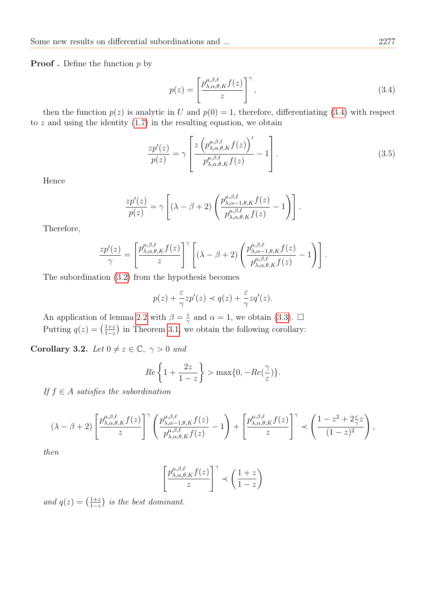**Proof** . Define the function  $p$  by

<span id="page-4-0"></span>
$$
p(z) = \left[\frac{p_{\lambda,\alpha,\theta,K}^{\mu,\beta,\ell} f(z)}{z}\right]^\gamma, \tag{3.4}
$$

then the function  $p(z)$  is analytic in U and  $p(0) = 1$ , therefore, differentiating [\(3.4\)](#page-4-0) with respect to  $z$  and using the identity  $(1.7)$  in the resulting equation, we obtain

$$
\frac{zp'(z)}{p(z)} = \gamma \left[ \frac{z \left( p_{\lambda,\alpha,\theta,K}^{\mu,\beta,\ell} f(z) \right)'}{p_{\lambda,\alpha,\theta,K}^{\mu,\beta,\ell} f(z)} - 1 \right].
$$
\n(3.5)

Hence

$$
\frac{zp'(z)}{p(z)} = \gamma \left[ (\lambda - \beta + 2) \left( \frac{p_{\lambda,\alpha-1,\theta,K}^{\mu,\beta,\ell} f(z)}{p_{\lambda,\alpha,\theta,K}^{\mu,\beta,\ell} f(z)} - 1 \right) \right].
$$

Therefore,

$$
\frac{zp'(z)}{\gamma} = \left[\frac{p_{\lambda,\alpha,\theta,K}^{\mu,\beta,\ell}f(z)}{z}\right]^{\gamma} \left[ (\lambda-\beta+2) \left( \frac{p_{\lambda,\alpha-1,\theta,K}^{\mu,\beta,\ell}f(z)}{p_{\lambda,\alpha,\theta,K}^{\mu,\beta,\ell}f(z)} - 1 \right) \right].
$$

The subordination [\(3.2\)](#page-3-3) from the hypothesis becomes

$$
p(z) + \frac{\varepsilon}{\gamma} z p'(z) \prec q(z) + \frac{\varepsilon}{\gamma} z q'(z).
$$

An application of lemma [2.2](#page-2-3) with  $\beta = \frac{\varepsilon}{2}$  $\frac{\varepsilon}{\gamma}$  and  $\alpha = 1$ , we obtain [\(3.3\)](#page-3-4).  $\Box$ Putting  $q(z) = \left(\frac{1+z}{1-z}\right)$  $\frac{1+z}{1-z}$  in Theorem [3.1,](#page-3-5) we obtain the following corollary:

Corollary 3.2. Let  $0 \neq \varepsilon \in \mathbb{C}, \gamma > 0$  and

$$
Re\left\{1+\frac{2z}{1-z}\right\} > \max\{0, -Re(\frac{\gamma}{\varepsilon})\}.
$$

If  $f \in A$  satisfies the subordination

$$
(\lambda-\beta+2)\left[\frac{p^{\mu,\beta,\ell}_{\lambda,\alpha,\theta,K}f(z)}{z}\right]^\gamma \left(\frac{p^{\mu,\beta,\ell}_{\lambda,\alpha-1,\theta,K}f(z)}{p^{\mu,\beta,\ell}_{\lambda,\alpha,\theta,K}f(z)}-1\right)+\left[\frac{p^{\mu,\beta,\ell}_{\lambda,\alpha,\theta,K}f(z)}{z}\right]^\gamma\prec \left(\frac{1-z^2+2\frac{\varepsilon}{\gamma}z}{(1-z)^2}\right),
$$

then

$$
\left[\frac{p^{\mu,\beta,\ell}_{\lambda,\alpha,\theta,K}f(z)}{z}\right]^\gamma \prec \left(\frac{1+z}{1-z}\right)
$$

<span id="page-4-1"></span>and  $q(z) = \left(\frac{1+z}{1-z}\right)$  $\frac{1+z}{1-z}$ ) is the best dominant.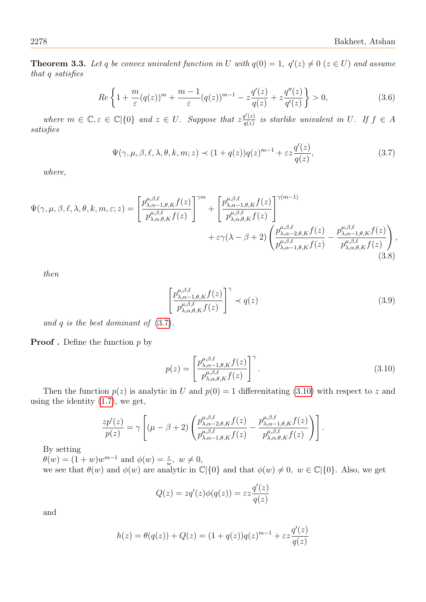**Theorem 3.3.** Let q be convex univalent function in U with  $q(0) = 1$ ,  $q'(z) \neq 0$  ( $z \in U$ ) and assume that q satisfies

<span id="page-5-3"></span>
$$
Re\left\{1+\frac{m}{\varepsilon}(q(z))^m+\frac{m-1}{\varepsilon}(q(z))^{m-1}-z\frac{q'(z)}{q(z)}+z\frac{q''(z)}{q'(z)}\right\}>0,
$$
\n(3.6)

where  $m \in \mathbb{C}, \varepsilon \in \mathbb{C} \setminus \{0\}$  and  $z \in U$ . Suppose that  $z \frac{q'(z)}{q(z)}$  $\frac{q(z)}{q(z)}$  is starlike univalent in U. If  $f \in A$ satisfies

<span id="page-5-0"></span>
$$
\Psi(\gamma,\mu,\beta,\ell,\lambda,\theta,k,m;z) \prec (1+q(z))q(z)^{m-1} + \varepsilon z \frac{q'(z)}{q(z)},
$$
\n(3.7)

where,

$$
\Psi(\gamma,\mu,\beta,\ell,\lambda,\theta,k,m,\varepsilon;z) = \left[\frac{p_{\lambda,\alpha-1,\theta,K}^{\mu,\beta,\ell}f(z)}{p_{\lambda,\alpha,\theta,K}^{\mu,\beta,\ell}f(z)}\right]^{\gamma m} + \left[\frac{p_{\lambda,\alpha-1,\theta,K}^{\mu,\beta,\ell}f(z)}{p_{\lambda,\alpha,\theta,K}^{\mu,\beta,\ell}f(z)}\right]^{\gamma(m-1)} + \varepsilon\gamma(\lambda-\beta+2)\left(\frac{p_{\lambda,\alpha-2,\theta,K}^{\mu,\beta,\ell}f(z)}{p_{\lambda,\alpha-1,\theta,K}^{\mu,\beta,\ell}f(z)} - \frac{p_{\lambda,\alpha-1,\theta,K}^{\mu,\beta,\ell}f(z)}{p_{\lambda,\alpha,\theta,K}^{\mu,\beta,\ell}f(z)}\right),\tag{3.8}
$$

then

<span id="page-5-2"></span>
$$
\left[\frac{p_{\lambda,\alpha-1,\theta,K}^{\mu,\beta,\ell}f(z)}{p_{\lambda,\alpha,\theta,K}^{\mu,\beta,\ell}f(z)}\right]^\gamma \prec q(z)
$$
\n(3.9)

and q is the best dominant of  $(3.7)$ .

**Proof**. Define the function  $p$  by

<span id="page-5-1"></span>
$$
p(z) = \left[\frac{p_{\lambda,\alpha-1,\theta,K}^{\mu,\beta,\ell} f(z)}{p_{\lambda,\alpha,\theta,K}^{\mu,\beta,\ell} f(z)}\right]^\gamma.
$$
\n(3.10)

Then the function  $p(z)$  is analytic in U and  $p(0) = 1$  differentiating [\(3.10\)](#page-5-1) with respect to z and using the identity [\(1.7\)](#page-2-2), we get,

$$
\frac{zp'(z)}{p(z)} = \gamma \left[ (\mu - \beta + 2) \left( \frac{p_{\lambda,\alpha-2,\theta,K}^{\mu,\beta,\ell} f(z)}{p_{\lambda,\alpha-1,\theta,K}^{\mu,\beta,\ell} f(z)} - \frac{p_{\lambda,\alpha-1,\theta,K}^{\mu,\beta,\ell} f(z)}{p_{\lambda,\alpha,\theta,K}^{\mu,\beta,\ell} f(z)} \right) \right].
$$

By setting

 $\theta(w) = (1+w)w^{m-1}$  and  $\phi(w) = \frac{\varepsilon}{w}$ ,  $w \neq 0$ , we see that  $\theta(w)$  and  $\phi(w)$  are analytic in  $\mathbb{C}|\{0\}$  and that  $\phi(w) \neq 0$ ,  $w \in \mathbb{C}|\{0\}$ . Also, we get

$$
Q(z) = zq'(z)\phi(q(z)) = \varepsilon z \frac{q'(z)}{q(z)}
$$

and

$$
h(z) = \theta(q(z)) + Q(z) = (1 + q(z))q(z)^{m-1} + \varepsilon z \frac{q'(z)}{q(z)}
$$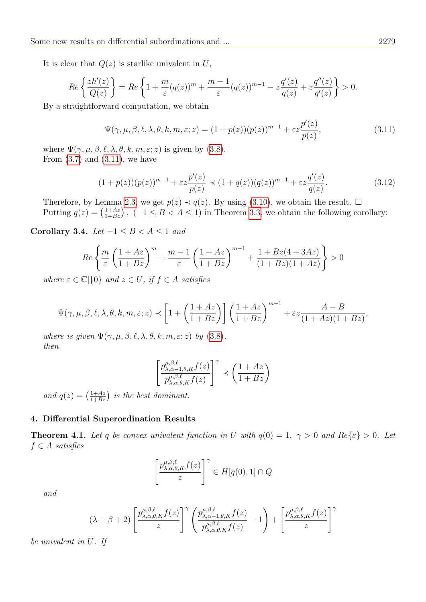It is clear that  $Q(z)$  is starlike univalent in U,

$$
Re\left\{\frac{zh'(z)}{Q(z)}\right\} = Re\left\{1 + \frac{m}{\varepsilon}(q(z))^m + \frac{m-1}{\varepsilon}(q(z))^{m-1} - z\frac{q'(z)}{q(z)} + z\frac{q''(z)}{q'(z)}\right\} > 0.
$$

By a straightforward computation, we obtain

<span id="page-6-0"></span>
$$
\Psi(\gamma,\mu,\beta,\ell,\lambda,\theta,k,m,\varepsilon;z) = (1+p(z))(p(z))^{m-1} + \varepsilon z \frac{p'(z)}{p(z)},
$$
\n(3.11)

where  $\Psi(\gamma,\mu,\beta,\ell,\lambda,\theta,k,m,\varepsilon;z)$  is given by [\(3.8\)](#page-5-2). From  $(3.7)$  and  $(3.11)$ , we have

$$
(1+p(z))(p(z))^{m-1} + \varepsilon z \frac{p'(z)}{p(z)} \prec (1+q(z))(q(z))^{m-1} + \varepsilon z \frac{q'(z)}{q(z)}.
$$
\n(3.12)

Therefore, by Lemma [2.3,](#page-2-4) we get  $p(z) \prec q(z)$ . By using [\(3.10\)](#page-5-1), we obtain the result.  $\Box$ Putting  $q(z) = \left(\frac{1+Az}{1+Bz}\right)$ ,  $(-1 \leq B < A \leq 1)$  in Theorem [3.3,](#page-4-1) we obtain the following corollary:

Corollary 3.4. Let  $-1 \leq B < A \leq 1$  and

$$
Re\left\{\frac{m}{\varepsilon}\left(\frac{1+Az}{1+Bz}\right)^m + \frac{m-1}{\varepsilon}\left(\frac{1+Az}{1+Bz}\right)^{m-1} + \frac{1+Bz(4+3Az)}{(1+Bz)(1+Az)}\right\} > 0
$$

where  $\varepsilon \in \mathbb{C}[\{0\}$  and  $z \in U$ , if  $f \in A$  satisfies

$$
\Psi(\gamma,\mu,\beta,\ell,\lambda,\theta,k,m,\varepsilon;z) \prec \left[1+\left(\frac{1+Az}{1+Bz}\right)\right] \left(\frac{1+Az}{1+Bz}\right)^{m-1} + \varepsilon z \frac{A-B}{(1+Az)(1+Bz)},
$$

where is given  $\Psi(\gamma,\mu,\beta,\ell,\lambda,\theta,k,m,\varepsilon;z)$  by [\(3.8\)](#page-5-2), then

$$
\left[\frac{p^{\mu,\beta,\ell}_{\lambda,\alpha-1,\theta,K}f(z)}{p^{\mu,\beta,\ell}_{\lambda,\alpha,\theta,K}f(z)}\right]^\gamma\prec\left(\frac{1+A z}{1+Bz}\right)
$$

and  $q(z) = \left(\frac{1+Az}{1+Bz}\right)$  is the best dominant.

## 4. Differential Superordination Results

<span id="page-6-1"></span>**Theorem 4.1.** Let q be convex univalent function in U with  $q(0) = 1$ ,  $\gamma > 0$  and  $Re\{\epsilon\} > 0$ . Let  $f \in A$  satisfies

$$
\left[\frac{p_{\lambda,\alpha,\theta,K}^{\mu,\beta,\ell}f(z)}{z}\right]^\gamma \in H[q(0),1] \cap Q
$$

and

$$
(\lambda - \beta + 2) \left[ \frac{p_{\lambda,\alpha,\theta,K}^{\mu,\beta,\ell} f(z)}{z} \right]^\gamma \left( \frac{p_{\lambda,\alpha-1,\theta,K}^{\mu,\beta,\ell} f(z)}{p_{\lambda,\alpha,\theta,K}^{\mu,\beta,\ell} f(z)} - 1 \right) + \left[ \frac{p_{\lambda,\alpha,\theta,K}^{\mu,\beta,\ell} f(z)}{z} \right]^\gamma
$$

be univalent in U. If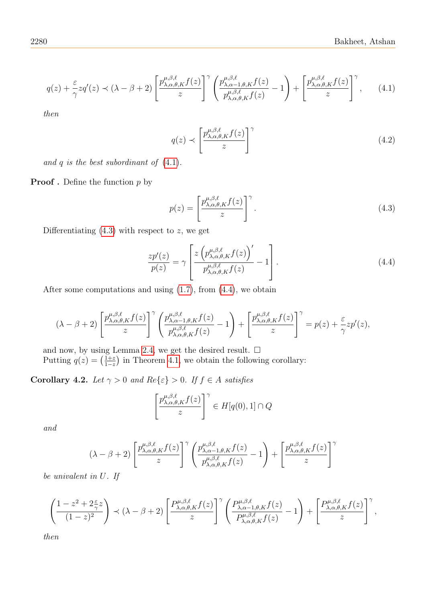<span id="page-7-0"></span>
$$
q(z) + \frac{\varepsilon}{\gamma} z q'(z) \prec (\lambda - \beta + 2) \left[ \frac{p_{\lambda,\alpha,\theta,K}^{\mu,\beta,\ell} f(z)}{z} \right]^\gamma \left( \frac{p_{\lambda,\alpha-1,\theta,K}^{\mu,\beta,\ell} f(z)}{p_{\lambda,\alpha,\theta,K}^{\mu,\beta,\ell} f(z)} - 1 \right) + \left[ \frac{p_{\lambda,\alpha,\theta,K}^{\mu,\beta,\ell} f(z)}{z} \right]^\gamma, \tag{4.1}
$$

then

$$
q(z) \prec \left[\frac{p_{\lambda,\alpha,\theta,K}^{\mu,\beta,\ell}f(z)}{z}\right]^\gamma \tag{4.2}
$$

and  $q$  is the best subordinant of  $(4.1)$ .

**Proof**. Define the function  $p$  by

<span id="page-7-1"></span>
$$
p(z) = \left[\frac{p_{\lambda,\alpha,\theta,K}^{\mu,\beta,\ell}f(z)}{z}\right]^\gamma.
$$
 (4.3)

Differentiating  $(4.3)$  with respect to z, we get

<span id="page-7-2"></span>
$$
\frac{zp'(z)}{p(z)} = \gamma \left[ \frac{z \left( p_{\lambda,\alpha,\theta,K}^{\mu,\beta,\ell} f(z) \right)'}{p_{\lambda,\alpha,\theta,K}^{\mu,\beta,\ell} f(z)} - 1 \right]. \tag{4.4}
$$

After some computations and using  $(1.7)$ , from  $(4.4)$ , we obtain

$$
(\lambda - \beta + 2) \left[ \frac{p_{\lambda,\alpha,\theta,K}^{\mu,\beta,\ell} f(z)}{z} \right]^\gamma \left( \frac{p_{\lambda,\alpha-1,\theta,K}^{\mu,\beta,\ell} f(z)}{p_{\lambda,\alpha,\theta,K}^{\mu,\beta,\ell} f(z)} - 1 \right) + \left[ \frac{p_{\lambda,\alpha,\theta,K}^{\mu,\beta,\ell} f(z)}{z} \right]^\gamma = p(z) + \frac{\varepsilon}{\gamma} z p'(z),
$$

and now, by using Lemma [2.4,](#page-3-6) we get the desired result.  $\Box$ Putting  $q(z) = \left(\frac{1+z}{1-z}\right)$  $\frac{1+z}{1-z}$  in Theorem [4.1,](#page-6-1) we obtain the following corollary:

Corollary 4.2. Let  $\gamma > 0$  and  $Re\{\varepsilon\} > 0$ . If  $f \in A$  satisfies

$$
\left[\frac{p_{\lambda,\alpha,\theta,K}^{\mu,\beta,\ell}f(z)}{z}\right]^\gamma \in H[q(0),1] \cap Q
$$

and

$$
(\lambda - \beta + 2) \left[ \frac{p_{\lambda,\alpha,\theta,K}^{\mu,\beta,\ell} f(z)}{z} \right]^\gamma \left( \frac{p_{\lambda,\alpha-1,\theta,K}^{\mu,\beta,\ell} f(z)}{p_{\lambda,\alpha,\theta,K}^{\mu,\beta,\ell} f(z)} - 1 \right) + \left[ \frac{p_{\lambda,\alpha,\theta,K}^{\mu,\beta,\ell} f(z)}{z} \right]^\gamma
$$

be univalent in U. If

$$
\left(\frac{1-z^2+2\frac{\varepsilon}{\gamma}z}{(1-z)^2}\right)\prec(\lambda-\beta+2)\left[\frac{P_{\lambda,\alpha,\theta,K}^{\mu,\beta,\ell}f(z)}{z}\right]^\gamma\left(\frac{P_{\lambda,\alpha-1,\theta,K}^{\mu,\beta,\ell}f(z)}{P_{\lambda,\alpha,\theta,K}^{\mu,\beta,\ell}f(z)}-1\right)+\left[\frac{P_{\lambda,\alpha,\theta,K}^{\mu,\beta,\ell}f(z)}{z}\right]^\gamma,
$$

then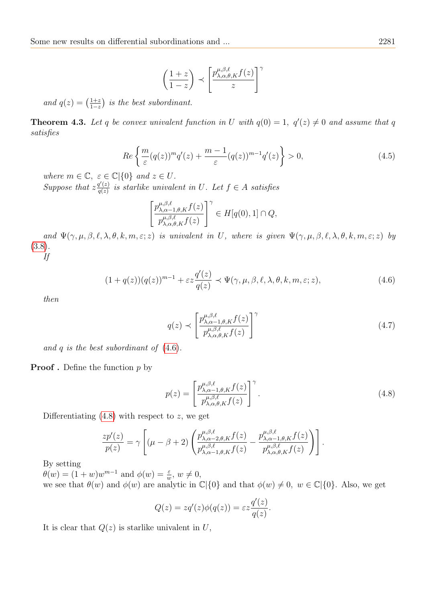$$
\left(\frac{1+z}{1-z}\right) \prec \left[\frac{p_{\lambda,\alpha,\theta,K}^{\mu,\beta,\ell}f(z)}{z}\right]^\gamma
$$

and  $q(z) = \left(\frac{1+z}{1-z}\right)$  $\frac{1+z}{1-z}$ ) is the best subordinant.

**Theorem 4.3.** Let q be convex univalent function in U with  $q(0) = 1$ ,  $q'(z) \neq 0$  and assume that q satisfies

<span id="page-8-2"></span>
$$
Re\left\{\frac{m}{\varepsilon}(q(z))^m q'(z) + \frac{m-1}{\varepsilon}(q(z))^{m-1} q'(z)\right\} > 0,
$$
\n(4.5)

where  $m \in \mathbb{C}, \ \varepsilon \in \mathbb{C} \setminus \{0\} \text{ and } z \in U.$ 

Suppose that  $z \frac{q'(z)}{q(z)}$  $\frac{q(z)}{q(z)}$  is starlike univalent in U. Let  $f \in A$  satisfies

$$
\left[\frac{p_{\lambda,\alpha-1,\theta,K}^{\mu,\beta,\ell}f(z)}{p_{\lambda,\alpha,\theta,K}^{\mu,\beta,\ell}f(z)}\right]^\gamma \in H[q(0),1] \cap Q,
$$

and  $\Psi(\gamma,\mu,\beta,\ell,\lambda,\theta,k,m,\varepsilon;z)$  is univalent in U, where is given  $\Psi(\gamma,\mu,\beta,\ell,\lambda,\theta,k,m,\varepsilon;z)$  by [\(3.8\)](#page-5-2).

If

<span id="page-8-0"></span>
$$
(1+q(z))(q(z))^{m-1} + \varepsilon z \frac{q'(z)}{q(z)} \prec \Psi(\gamma, \mu, \beta, \ell, \lambda, \theta, k, m, \varepsilon; z), \tag{4.6}
$$

then

$$
q(z) \sim \left[\frac{p_{\lambda,\alpha-1,\theta,K}^{\mu,\beta,\ell}f(z)}{p_{\lambda,\alpha,\theta,K}^{\mu,\beta,\ell}f(z)}\right]^{\gamma}
$$
\n(4.7)

and q is the best subordinant of  $(4.6)$ .

**Proof**. Define the function  $p$  by

<span id="page-8-1"></span>
$$
p(z) = \left[\frac{p_{\lambda,\alpha-1,\theta,K}^{\mu,\beta,\ell}f(z)}{p_{\lambda,\alpha,\theta,K}^{\mu,\beta,\ell}f(z)}\right]^\gamma.
$$
\n(4.8)

Differentiating  $(4.8)$  with respect to z, we get

$$
\frac{zp'(z)}{p(z)} = \gamma \left[ (\mu - \beta + 2) \left( \frac{p_{\lambda,\alpha-2,\theta,K}^{\mu,\beta,\ell} f(z)}{p_{\lambda,\alpha-1,\theta,K}^{\mu,\beta,\ell} f(z)} - \frac{p_{\lambda,\alpha-1,\theta,K}^{\mu,\beta,\ell} f(z)}{p_{\lambda,\alpha,\theta,K}^{\mu,\beta,\ell} f(z)} \right) \right].
$$

By setting

 $\theta(w) = (1+w)w^{m-1}$  and  $\phi(w) = \frac{\varepsilon}{w}$ ,  $w \neq 0$ , we see that  $\theta(w)$  and  $\phi(w)$  are analytic in  $\mathbb{C}|\{0\}$  and that  $\phi(w) \neq 0, w \in \mathbb{C}|\{0\}$ . Also, we get

$$
Q(z) = zq'(z)\phi(q(z)) = \varepsilon z \frac{q'(z)}{q(z)}.
$$

It is clear that  $Q(z)$  is starlike univalent in U,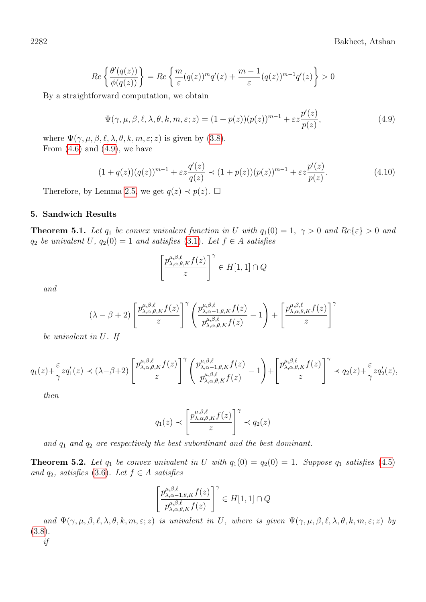$$
Re\left\{\frac{\theta'(q(z))}{\phi(q(z))}\right\} = Re\left\{\frac{m}{\varepsilon}(q(z))^m q'(z) + \frac{m-1}{\varepsilon}(q(z))^{m-1} q'(z)\right\} > 0
$$

By a straightforward computation, we obtain

<span id="page-9-0"></span>
$$
\Psi(\gamma,\mu,\beta,\ell,\lambda,\theta,k,m,\varepsilon;z) = (1+p(z))(p(z))^{m-1} + \varepsilon z \frac{p'(z)}{p(z)},
$$
\n(4.9)

where  $\Psi(\gamma,\mu,\beta,\ell,\lambda,\theta,k,m,\varepsilon;z)$  is given by [\(3.8\)](#page-5-2). From  $(4.6)$  and  $(4.9)$ , we have

$$
(1+q(z))(q(z))^{m-1} + \varepsilon z \frac{q'(z)}{q(z)} \prec (1+p(z))(p(z))^{m-1} + \varepsilon z \frac{p'(z)}{p(z)}.
$$
\n(4.10)

Therefore, by Lemma [2.5,](#page-3-7) we get  $q(z) \prec p(z)$ .  $\Box$ 

## 5. Sandwich Results

**Theorem 5.1.** Let  $q_1$  be convex univalent function in U with  $q_1(0) = 1$ ,  $\gamma > 0$  and  $Re\{\epsilon\} > 0$  and  $q_2$  be univalent U,  $q_2(0) = 1$  and satisfies [\(3.1\)](#page-3-8). Let  $f \in A$  satisfies

$$
\left[\frac{p_{\lambda,\alpha,\theta,K}^{\mu,\beta,\ell}f(z)}{z}\right]^\gamma \in H[1,1] \cap Q
$$

and

$$
(\lambda - \beta + 2) \left[ \frac{p_{\lambda,\alpha,\theta,K}^{\mu,\beta,\ell} f(z)}{z} \right]^\gamma \left( \frac{p_{\lambda,\alpha-1,\theta,K}^{\mu,\beta,\ell} f(z)}{p_{\lambda,\alpha,\theta,K}^{\mu,\beta,\ell} f(z)} - 1 \right) + \left[ \frac{p_{\lambda,\alpha,\theta,K}^{\mu,\beta,\ell} f(z)}{z} \right]^\gamma
$$

be univalent in U. If

$$
q_1(z) + \frac{\varepsilon}{\gamma} z q_1'(z) \prec (\lambda - \beta + 2) \left[ \frac{p_{\lambda,\alpha,\theta,K}^{\mu,\beta,\ell} f(z)}{z} \right]^\gamma \left( \frac{p_{\lambda,\alpha-1,\theta,K}^{\mu,\beta,\ell} f(z)}{p_{\lambda,\alpha,\theta,K}^{\mu,\beta,\ell} f(z)} - 1 \right) + \left[ \frac{p_{\lambda,\alpha,\theta,K}^{\mu,\beta,\ell} f(z)}{z} \right]^\gamma \prec q_2(z) + \frac{\varepsilon}{\gamma} z q_2'(z),
$$

then

$$
q_1(z) \prec \left[\frac{p^{\mu,\beta,\ell}_{\lambda,\alpha,\theta,K}f(z)}{z}\right]^\gamma \prec q_2(z)
$$

and  $q_1$  and  $q_2$  are respectively the best subordinant and the best dominant.

**Theorem 5.2.** Let  $q_1$  be convex univalent in U with  $q_1(0) = q_2(0) = 1$ . Suppose  $q_1$  satisfies [\(4.5\)](#page-8-2) and  $q_2$ , satisfies [\(3.6\)](#page-5-3). Let  $f \in A$  satisfies

$$
\left[\frac{p^{\mu,\beta,\ell}_{\lambda,\alpha-1,\theta,K}f(z)}{p^{\mu,\beta,\ell}_{\lambda,\alpha,\theta,K}f(z)}\right]^\gamma\in H[1,1]\cap Q
$$

and  $\Psi(\gamma,\mu,\beta,\ell,\lambda,\theta,k,m,\varepsilon;z)$  is univalent in U, where is given  $\Psi(\gamma,\mu,\beta,\ell,\lambda,\theta,k,m,\varepsilon;z)$  by [\(3.8\)](#page-5-2). if